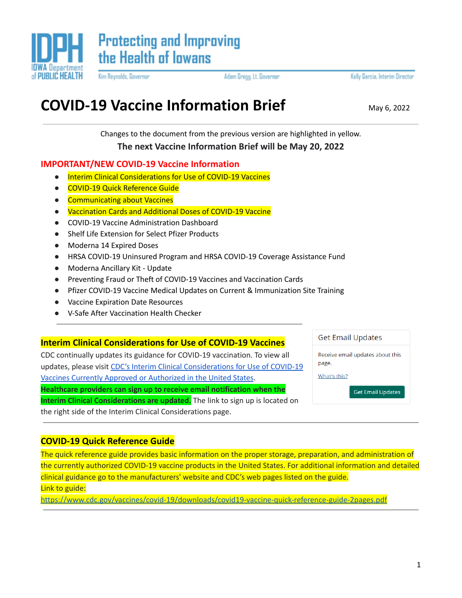

Kim Reynolds, Governor

Adam Gregg, Lt. Governor

Kelly Garcia, Interim Director

# **COVID-19 Vaccine Information Brief** May 6, 2022

Changes to the document from the previous version are highlighted in yellow.

**The next Vaccine Information Brief will be May 20, 2022**

# **IMPORTANT/NEW COVID-19 Vaccine Information**

- Interim Clinical Considerations for Use of COVID-19 Vaccines
- COVID-19 Quick Reference Guide
- Communicating about Vaccines
- Vaccination Cards and Additional Doses of COVID-19 Vaccine
- COVID-19 Vaccine Administration Dashboard
- Shelf Life Extension for Select Pfizer Products
- Moderna 14 Expired Doses
- HRSA COVID-19 Uninsured Program and HRSA COVID-19 Coverage Assistance Fund
- Moderna Ancillary Kit Update
- Preventing Fraud or Theft of COVID-19 Vaccines and Vaccination Cards
- Pfizer COVID-19 Vaccine Medical Updates on Current & Immunization Site Training
- Vaccine Expiration Date Resources
- **V-Safe After Vaccination Health Checker**

# **Interim Clinical Considerations for Use of COVID-19 Vaccines**

CDC continually updates its guidance for COVID-19 vaccination. To view all updates, please visit CDC's Interim Clinical [Considerations](https://t.emailupdates.cdc.gov/r/?id=h638ed30e,165d2f8e,165d4668&e=QUNTVHJhY2tpbmdJRD1VU0NEQ18yMTIwLURNODAzNjImQUNTVHJhY2tpbmdMYWJlbD1VcGRhdGVkJTIwR3VpZGFuY2UlM0ElMjBJbnRlcmltJTIwQ2xpbmljYWwlMjBDb25zaWRlcmF0aW9ucyUyMGZvciUyMFVzZSUyMG9mJTIwQ09WSUQtMTklMjBWYWNjaW5lcw&s=uDcC5D_ThCxY4vxXhG42QgM-7lb_2gDCm43nlFjaY_0) for Use of COVID-19 Vaccines Currently Approved or [Authorized](https://t.emailupdates.cdc.gov/r/?id=h638ed30e,165d2f8e,165d4668&e=QUNTVHJhY2tpbmdJRD1VU0NEQ18yMTIwLURNODAzNjImQUNTVHJhY2tpbmdMYWJlbD1VcGRhdGVkJTIwR3VpZGFuY2UlM0ElMjBJbnRlcmltJTIwQ2xpbmljYWwlMjBDb25zaWRlcmF0aW9ucyUyMGZvciUyMFVzZSUyMG9mJTIwQ09WSUQtMTklMjBWYWNjaW5lcw&s=uDcC5D_ThCxY4vxXhG42QgM-7lb_2gDCm43nlFjaY_0) in the United States. **Healthcare providers can sign up to receive email notification when the Interim Clinical Considerations are updated.** The link to sign up is located on the right side of the Interim Clinical Considerations page.

**Get Email Updates** 

Receive email updates about this page.

What's this?

**Get Email Updates** 

# **COVID-19 Quick Reference Guide**

The quick reference guide provides basic information on the proper storage, preparation, and administration of the currently authorized COVID-19 vaccine products in the United States. For additional information and detailed clinical guidance go to the manufacturers' website and CDC's web pages listed on the guide. Link to guide:

<https://www.cdc.gov/vaccines/covid-19/downloads/covid19-vaccine-quick-reference-guide-2pages.pdf>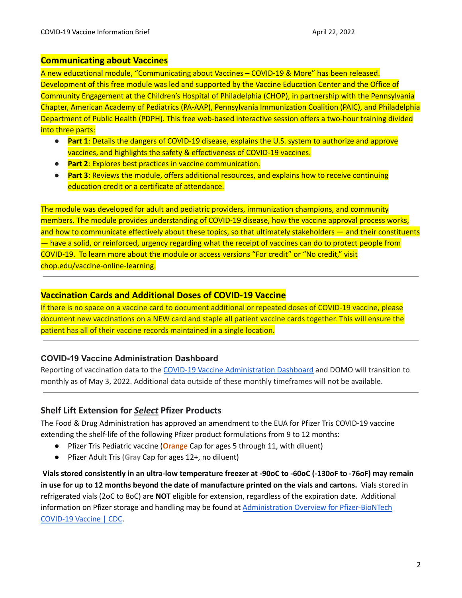### **Communicating about Vaccines**

A new educational module, "Communicating about Vaccines – COVID-19 & More" has been released. Development of this free module was led and supported by the Vaccine Education Center and the Office of Community Engagement at the Children's Hospital of Philadelphia (CHOP), in partnership with the Pennsylvania Chapter, American Academy of Pediatrics (PA-AAP), Pennsylvania Immunization Coalition (PAIC), and Philadelphia Department of Public Health (PDPH). This free web-based interactive session offers a two-hour training divided into three parts:

- **Part 1**: Details the dangers of COVID-19 disease, explains the U.S. system to authorize and approve vaccines, and highlights the safety & effectiveness of COVID-19 vaccines.
- **Part 2**: Explores best practices in vaccine communication.
- **Part 3**: Reviews the module, offers additional resources, and explains how to receive continuing education credit or a certificate of attendance.

The module was developed for adult and pediatric providers, immunization champions, and community members. The module provides understanding of COVID-19 disease, how the vaccine approval process works, and how to communicate effectively about these topics, so that ultimately stakeholders — and their constituents — have a solid, or reinforced, urgency regarding what the receipt of vaccines can do to protect people from COVID-19. To learn more about the module or access versions "For credit" or "No credit," visit [chop.edu/vaccine-online-learning](https://www.chop.edu/centers-programs/vaccine-update-healthcare-professionals/online-learning-healthcare-providers).

### **Vaccination Cards and Additional Doses of COVID-19 Vaccine**

If there is no space on a vaccine card to document additional or repeated doses of COVID-19 vaccine, please document new vaccinations on a NEW card and staple all patient vaccine cards together. This will ensure the patient has all of their vaccine records maintained in a single location.

# **COVID-19 Vaccine Administration Dashboard**

Reporting of vaccination data to the COVID-19 Vaccine [Administration](https://idph.iowa.gov/Emerging-Health-Issues/Novel-Coronavirus/COVID-19-Reporting) Dashboard and DOMO will transition to monthly as of May 3, 2022. Additional data outside of these monthly timeframes will not be available.

# **Shelf Lift Extension for** *Select* **Pfizer Products**

The Food & Drug Administration has approved an amendment to the EUA for Pfizer Tris COVID-19 vaccine extending the shelf-life of the following Pfizer product formulations from 9 to 12 months:

- Pfizer Tris Pediatric vaccine (**Orange** Cap for ages 5 through 11, with diluent)
- Pfizer Adult Tris **(Gray** Cap for ages 12+, no diluent)

Vials stored consistently in an ultra-low temperature freezer at -90oC to -60oC (-130oF to -76oF) may remain in use for up to 12 months beyond the date of manufacture printed on the vials and cartons. Vials stored in refrigerated vials (2oC to 8oC) are **NOT** eligible for extension, regardless of the expiration date. Additional information on Pfizer storage and handling may be found at Administration Overview for [Pfizer-BioNTech](https://www.cdc.gov/vaccines/covid-19/info-by-product/pfizer/index.html) [COVID-19](https://www.cdc.gov/vaccines/covid-19/info-by-product/pfizer/index.html) Vaccine | CDC.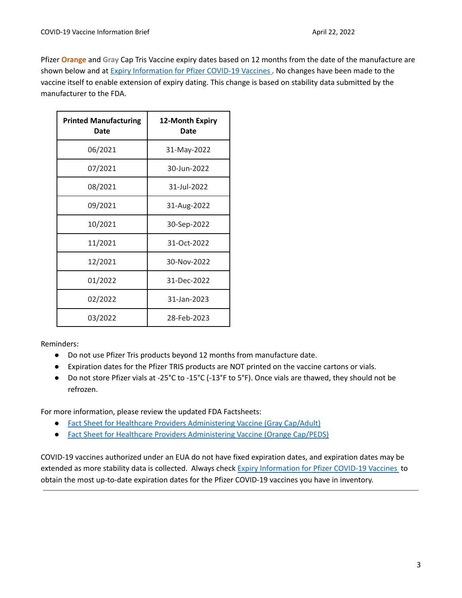Pfizer **Orange** and **Gray** Cap Tris Vaccine expiry dates based on 12 months from the date of the manufacture are shown below and at Expiry [Information](https://www.cvdvaccine-us.com/images/pdf/Expiry_Doc.pdf) for Pfizer COVID-19 Vaccines . No changes have been made to the vaccine itself to enable extension of expiry dating. This change is based on stability data submitted by the manufacturer to the FDA.

| <b>Printed Manufacturing</b><br>Date | <b>12-Month Expiry</b><br>Date |
|--------------------------------------|--------------------------------|
| 06/2021                              | 31-May-2022                    |
| 07/2021                              | 30-Jun-2022                    |
| 08/2021                              | 31-Jul-2022                    |
| 09/2021                              | 31-Aug-2022                    |
| 10/2021                              | 30-Sep-2022                    |
| 11/2021                              | 31-Oct-2022                    |
| 12/2021                              | 30-Nov-2022                    |
| 01/2022                              | 31-Dec-2022                    |
| 02/2022                              | 31-Jan-2023                    |
| 03/2022                              | 28-Feb-2023                    |

Reminders:

- Do not use Pfizer Tris products beyond 12 months from manufacture date.
- Expiration dates for the Pfizer TRIS products are NOT printed on the vaccine cartons or vials.
- Do not store Pfizer vials at -25°C to -15°C (-13°F to 5°F). Once vials are thawed, they should not be refrozen.

For more information, please review the updated FDA Factsheets:

- Fact Sheet for Healthcare Providers [Administering](https://www.fda.gov/media/153715/download) Vaccine (Gray Cap/Adult)
- Fact Sheet for Healthcare Providers [Administering](https://www.fda.gov/media/153714/download) Vaccine (Orange Cap/PEDS)

COVID-19 vaccines authorized under an EUA do not have fixed expiration dates, and expiration dates may be extended as more stability data is collected. Always check Expiry [Information](https://www.cvdvaccine-us.com/images/pdf/Expiry_Doc.pdf) for Pfizer COVID-19 Vaccines to obtain the most up-to-date expiration dates for the Pfizer COVID-19 vaccines you have in inventory.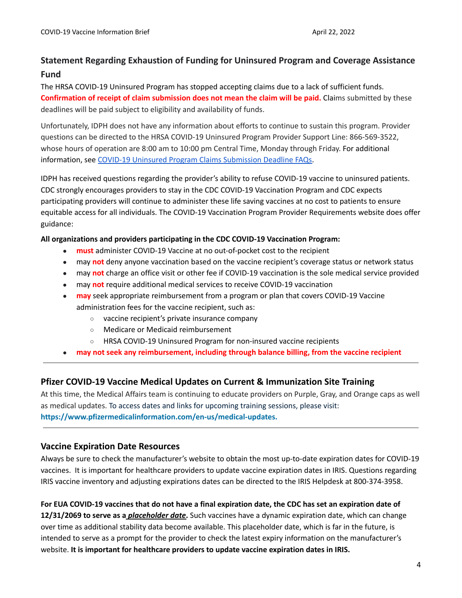# **Statement Regarding Exhaustion of Funding for Uninsured Program and Coverage Assistance Fund**

The HRSA COVID-19 Uninsured Program has stopped accepting claims due to a lack of sufficient funds. **Confirmation of receipt of claim submission does not mean the claim will be paid.** Claims submitted by these deadlines will be paid subject to eligibility and availability of funds.

Unfortunately, IDPH does not have any information about efforts to continue to sustain this program. Provider questions can be directed to the HRSA COVID-19 Uninsured Program Provider Support Line: 866-569-3522, whose hours of operation are 8:00 am to 10:00 pm Central Time, Monday through Friday. For additional information, see COVID-19 Uninsured Program Claims [Submission](https://www.hrsa.gov/coviduninsuredclaim/submission-deadline) Deadline FAQs.

IDPH has received questions regarding the provider's ability to refuse COVID-19 vaccine to uninsured patients. CDC strongly encourages providers to stay in the CDC COVID-19 Vaccination Program and CDC expects participating providers will continue to administer these life saving vaccines at no cost to patients to ensure equitable access for all individuals. The COVID-19 Vaccination Program Provider Requirements website does offer guidance:

### **All organizations and providers participating in the CDC COVID-19 Vaccination Program:**

- **must** administer COVID-19 Vaccine at no out-of-pocket cost to the recipient
- may **not** deny anyone vaccination based on the vaccine recipient's coverage status or network status
- may **not** charge an office visit or other fee if COVID-19 vaccination is the sole medical service provided
- may **not** require additional medical services to receive COVID-19 vaccination
- **may** seek appropriate reimbursement from a program or plan that covers COVID-19 Vaccine administration fees for the vaccine recipient, such as:
	- vaccine recipient's private insurance company
	- Medicare or Medicaid reimbursement
	- HRSA COVID-19 Uninsured Program for non-insured vaccine recipients
- **may not seek any reimbursement, including through balance billing, from the vaccine recipient**

# **Pfizer COVID-19 Vaccine Medical Updates on Current & Immunization Site Training**

At this time, the Medical Affairs team is continuing to educate providers on Purple, Gray, and Orange caps as well as medical updates. To access dates and links for upcoming training sessions, please visit: **[https://www.pfizermedicalinformation.com/en-us/medical-updates.](https://www.pfizermedicalinformation.com/medical-updates)**

### **Vaccine Expiration Date Resources**

Always be sure to check the manufacturer's website to obtain the most up-to-date expiration dates for COVID-19 vaccines. It is important for healthcare providers to update vaccine expiration dates in IRIS. Questions regarding IRIS vaccine inventory and adjusting expirations dates can be directed to the IRIS Helpdesk at 800-374-3958.

For EUA COVID-19 vaccines that do not have a final expiration date, the CDC has set an expiration date of **12/31/2069 to serve as a** *placeholder date***.** Such vaccines have a dynamic expiration date, which can change over time as additional stability data become available. This placeholder date, which is far in the future, is intended to serve as a prompt for the provider to check the latest expiry information on the manufacturer's website. **It is important for healthcare providers to update vaccine expiration dates in IRIS.**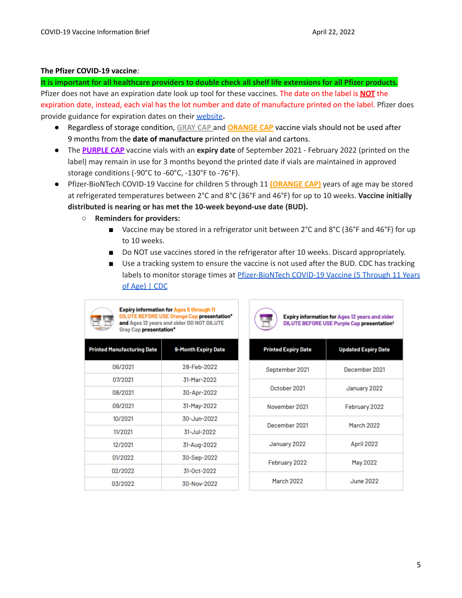#### **The Pfizer COVID-19 vaccine**:

It is important for all healthcare providers to double check all shelf life extensions for all Pfizer products. Pfizer does not have an expiration date look up tool for these vaccines. The date on the label is **NOT** the expiration date, instead, each vial has the lot number and date of manufacture printed on the label. Pfizer does provide guidance for expiration dates on their [website](https://www.cvdvaccine-us.com/)**.**

- Regardless of storage condition, **GRAY CAP** and **ORANGE CAP** vaccine vials should not be used after 9 months from the **date of manufacture** printed on the vial and cartons.
- The **PURPLE CAP** vaccine vials with an **expiry date** of September 2021 February 2022 (printed on the label) may remain in use for 3 months beyond the printed date if vials are maintained in approved storage conditions (-90°C to -60°C, -130°F to -76°F).
- Pfizer-BioNTech COVID-19 Vaccine for children 5 through 11 **(ORANGE CAP)** years of age may be stored at refrigerated temperatures between 2°C and 8°C (36°F and 46°F) for up to 10 weeks. **Vaccine initially distributed is nearing or has met the 10-week beyond-use date (BUD).**
	- **Reminders for providers:**
		- Vaccine may be stored in a refrigerator unit between 2°C and 8°C (36°F and 46°F) for up to 10 weeks.
		- Do NOT use vaccines stored in the refrigerator after 10 weeks. Discard appropriately.
		- Use a tracking system to ensure the vaccine is not used after the BUD. CDC has tracking labels to monitor storage times at [Pfizer-BioNTech](https://www.cdc.gov/vaccines/covid-19/info-by-product/pfizer/pfizer-bioNTech-children-adolescents.html) COVID-19 Vaccine (5 Through 11 Years of [Age\)](https://www.cdc.gov/vaccines/covid-19/info-by-product/pfizer/pfizer-bioNTech-children-adolescents.html) | CDC



**Expiry information for Ages 5 through 11 DILUTE BEFORE USE Orange Cap presentation\*** and Ages 12 years and older DO NOT DILUTE **Gray Cap presentation\*** 

| <b>Printed Manufacturing Date</b> | <b>9-Month Expiry Date</b> |
|-----------------------------------|----------------------------|
| 06/2021                           | 28-Feb-2022                |
| 07/2021                           | 31-Mar-2022                |
| 08/2021                           | 30-Apr-2022                |
| 09/2021                           | 31-May-2022                |
| 10/2021                           | 30-Jun-2022                |
| 11/2021                           | 31-Jul-2022                |
| 12/2021                           | 31-Aug-2022                |
| 01/2022                           | 30-Sep-2022                |
| 02/2022                           | 31-0ct-2022                |
| 03/2022                           | 30-Nov-2022                |

| <b>Printed Expiry Date</b> | <b>Updated Expiry Date</b> |
|----------------------------|----------------------------|
| September 2021             | December 2021              |
| October 2021               | January 2022               |
| November 2021              | February 2022              |
| December 2021              | March 2022                 |
| January 2022               | April 2022                 |
| February 2022              | May 2022                   |
| March 2022                 | June 2022                  |